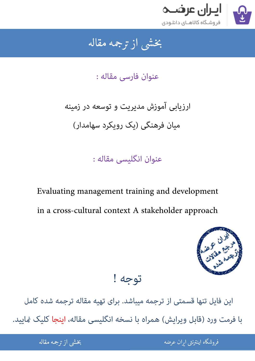

جمه مقاله شی از تر بخشی از :

عنوان فارسی مقاله :

ارزیابی آموزش مدیریت و توسعه در زمینه میان فرهنگی (یک رویکرد سهامدار)

عنوان انگلیسی مقاله :

Evaluating management training and development in a cross-cultural context A stakeholder approach



توجه !

این فایل تنها قسمتی از ترجمه میباشد. برای تهیه مقاله ترجمه شده کامل با فرمت ورد (قابل ویرایش) همراه با نسخه انگلیسی مقاله، اینجا کلیک غایید.

> ֦֘ ه اينترنتي ايران عرضه مستخدم استخدام استخدام المستخدم المستخدم المستخدم المستخدم المستخدم المستخدم المستخدم ال ֧֚֚֚֚֚֚֚֚֚֚֚֚֚֚֚֚֚֚֚֚֚֚֚֬֡֡֡֡֡֡֓֡֡֡֡֬֝֝֓֡֡֬֓֓֡֬

شی از ترجمه <mark>مقا</mark>له